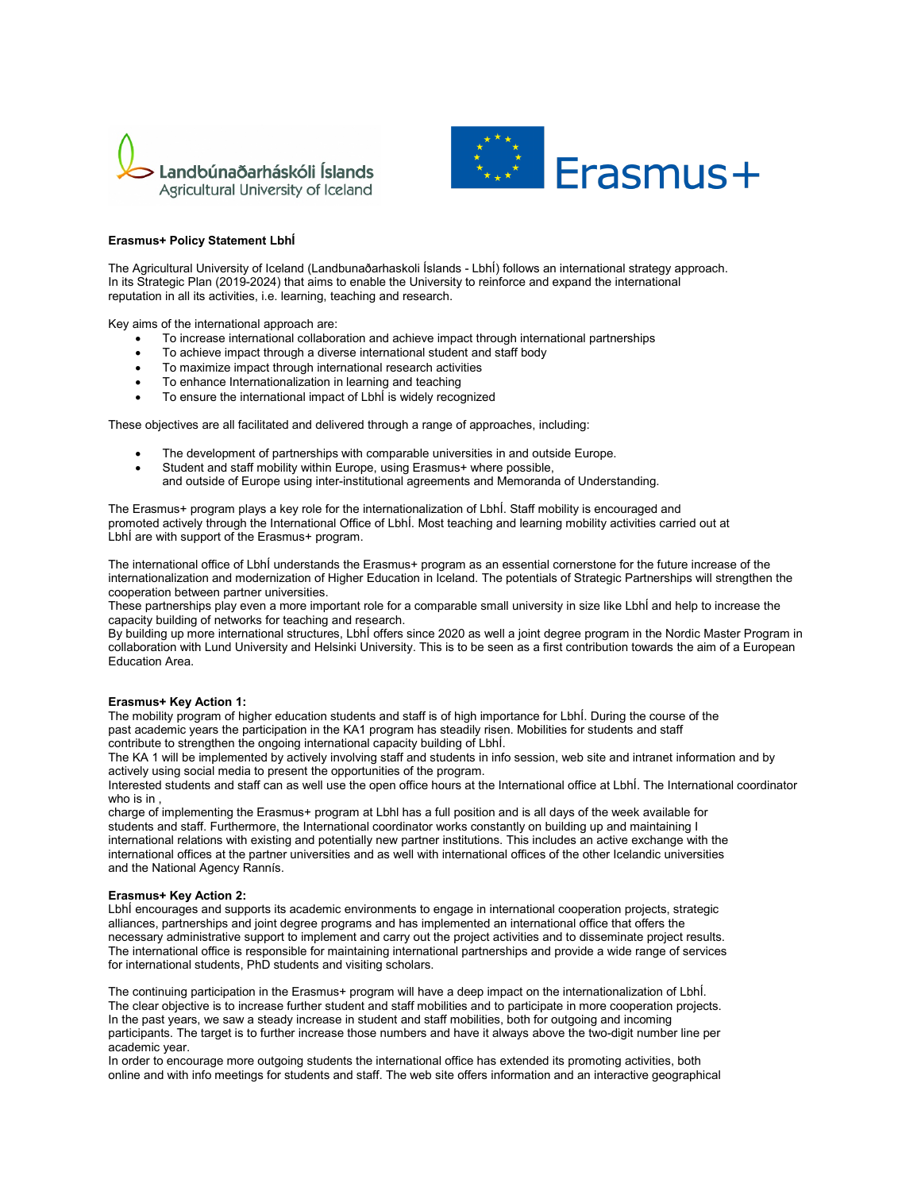



## **Erasmus+ Policy Statement LbhÍ**

The Agricultural University of Iceland (Landbunaðarhaskoli Íslands - LbhÍ) follows an international strategy approach. In its Strategic Plan (2019-2024) that aims to enable the University to reinforce and expand the international reputation in all its activities, i.e. learning, teaching and research.

Key aims of the international approach are:

- To increase international collaboration and achieve impact through international partnerships
- To achieve impact through a diverse international student and staff body
- To maximize impact through international research activities
- To enhance Internationalization in learning and teaching
- To ensure the international impact of LbhÍ is widely recognized

These objectives are all facilitated and delivered through a range of approaches, including:

- The development of partnerships with comparable universities in and outside Europe.
- Student and staff mobility within Europe, using Erasmus+ where possible,
- and outside of Europe using inter-institutional agreements and Memoranda of Understanding.

The Erasmus+ program plays a key role for the internationalization of LbhÍ. Staff mobility is encouraged and promoted actively through the International Office of LbhÍ. Most teaching and learning mobility activities carried out at LbhÍ are with support of the Erasmus+ program.

The international office of LbhÍ understands the Erasmus+ program as an essential cornerstone for the future increase of the internationalization and modernization of Higher Education in Iceland. The potentials of Strategic Partnerships will strengthen the cooperation between partner universities.

These partnerships play even a more important role for a comparable small university in size like LbhÍ and help to increase the capacity building of networks for teaching and research.

By building up more international structures, LbhÍ offers since 2020 as well a joint degree program in the Nordic Master Program in collaboration with Lund University and Helsinki University. This is to be seen as a first contribution towards the aim of a European Education Area.

## **Erasmus+ Key Action 1:**

The mobility program of higher education students and staff is of high importance for LbhÍ. During the course of the past academic years the participation in the KA1 program has steadily risen. Mobilities for students and staff contribute to strengthen the ongoing international capacity building of LbhÍ.

The KA 1 will be implemented by actively involving staff and students in info session, web site and intranet information and by actively using social media to present the opportunities of the program.

Interested students and staff can as well use the open office hours at the International office at LbhÍ. The International coordinator who is in ,

charge of implementing the Erasmus+ program at Lbhl has a full position and is all days of the week available for students and staff. Furthermore, the International coordinator works constantly on building up and maintaining I international relations with existing and potentially new partner institutions. This includes an active exchange with the international offices at the partner universities and as well with international offices of the other Icelandic universities and the National Agency Rannís.

## **Erasmus+ Key Action 2:**

LbhÍ encourages and supports its academic environments to engage in international cooperation projects, strategic alliances, partnerships and joint degree programs and has implemented an international office that offers the necessary administrative support to implement and carry out the project activities and to disseminate project results. The international office is responsible for maintaining international partnerships and provide a wide range of services for international students, PhD students and visiting scholars.

The continuing participation in the Erasmus+ program will have a deep impact on the internationalization of LbhÍ. The clear objective is to increase further student and staff mobilities and to participate in more cooperation projects. In the past years, we saw a steady increase in student and staff mobilities, both for outgoing and incoming participants. The target is to further increase those numbers and have it always above the two-digit number line per academic year.

In order to encourage more outgoing students the international office has extended its promoting activities, both online and with info meetings for students and staff. The web site offers information and an interactive geographical